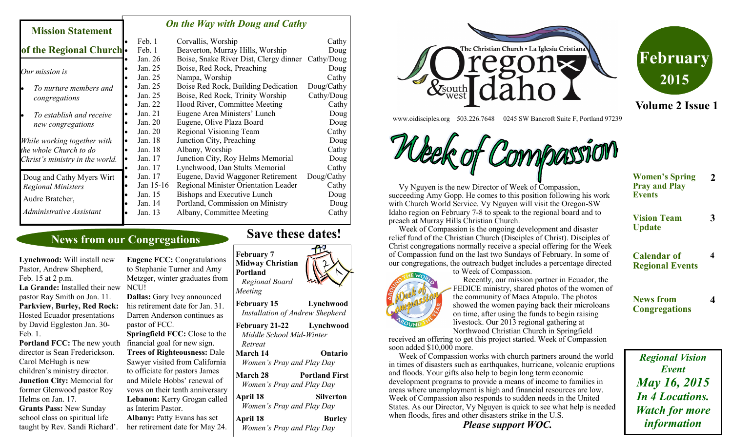#### *On the Way with Doug and Cathy*

| мняшя мацянени                                            |    |           |                                                   |            |
|-----------------------------------------------------------|----|-----------|---------------------------------------------------|------------|
|                                                           |    | Feb. 1    | Corvallis, Worship                                | Cathy      |
| of the Regional Church.                                   |    | Feb. 1    | Beaverton, Murray Hills, Worship                  | Doug       |
|                                                           |    | Jan. 26   | Boise, Snake River Dist, Clergy dinner Cathy/Doug |            |
| Our mission is                                            |    | Jan. 25   | Boise, Red Rock, Preaching                        | Doug       |
|                                                           |    | Jan. 25   | Nampa, Worship                                    | Cathy      |
| To nurture members and<br>congregations                   |    | Jan. 25   | Boise Red Rock, Building Dedication               | Doug/Cathy |
|                                                           |    | Jan. 25   | Boise, Red Rock, Trinity Worship                  | Cathy/Doug |
|                                                           |    | Jan. 22   | Hood River, Committee Meeting                     | Cathy      |
| To establish and receive<br>new congregations             |    | Jan. 21   | Eugene Area Ministers' Lunch                      | Doug       |
|                                                           |    | Jan. 20   | Eugene, Olive Plaza Board                         | Doug       |
|                                                           |    | Jan. 20   | Regional Visioning Team                           | Cathy      |
| While working together with                               |    | Jan. 18   | Junction City, Preaching                          | Doug       |
| the whole Church to do<br>Christ's ministry in the world. |    | Jan. 18   | Albany, Worship                                   | Cathy      |
|                                                           |    | Jan. 17   | Junction City, Roy Helms Memorial                 | Doug       |
|                                                           |    | Jan. 17   | Lynchwood, Dan Stults Memorial                    | Cathy      |
| Doug and Cathy Myers Wirt                                 | lo | Jan. 17   | Eugene, David Waggoner Retirement                 | Doug/Cathy |
| <b>Regional Ministers</b>                                 |    | Jan 15-16 | Regional Minister Orientation Leader              | Cathy      |
| Audre Bratcher,                                           |    | Jan. 15   | Bishops and Executive Lunch                       | Doug       |
|                                                           |    | Jan. 14   | Portland, Commission on Ministry                  | Doug       |
| Administrative Assistant                                  |    | Jan. 13   | Albany, Committee Meeting                         | Cathy      |
|                                                           |    |           |                                                   |            |

## **News from our Congregations**

**Lynchwood:** Will install new Pastor, Andrew Shepherd, Feb. 15 at 2 p.m. **La Grande:** Installed their new pastor Ray Smith on Jan. 11. **Parkview, Burley, Red Rock:**  Hosted Ecuador presentations by David Eggleston Jan. 30- Feb. 1. **Portland FCC:** The new youth

**Mission Statement** 

director is Sean Frederickson. Carol McHugh is new children's ministry director. **Junction City:** Memorial for former Glenwood pastor Roy Helms on Jan. 17.

**Grants Pass:** New Sunday school class on spiritual life taught by Rev. Sandi Richard'.

*Meeting* **Eugene FCC:** Congratulations to Stephanie Turner and Amy Metzger, winter graduates from NCU! **Dallas:** Gary Ivey announced

his retirement date for Jan. 31. Darren Anderson continues as pastor of FCC.

**Springfield FCC:** Close to the financial goal for new sign. **Trees of Righteousness:** Dale Sawyer visited from California to officiate for pastors James and Milele Hobbs' renewal of vows on their tenth anniversary **Lebanon:** Kerry Grogan called as Interim Pastor. **Albany:** Patty Evans has set

her retirement date for May 24.

## **Save these dates!**

**February 7 Midway Christian Portland**  *Regional Board* 

**February 15 Lynchwood** *Installation of Andrew Shepherd* **February 21-22 Lynchwood** *Middle School Mid-Winter Retreat* **March 14 Ontario** *Women's Pray and Play Day* **March 28 Portland First** *Women's Pray and Play Day* **April 18 Silverton** *Women's Pray and Play Day* **April 18** Burley *Women's Pray and Play Day*





**Volume 2 Issue 1**

www.oidisciples.org 503.226.7648 0245 SW Bancroft Suite F, Portland 97239



 Vy Nguyen is the new Director of Week of Compassion, succeeding Amy Gopp. He comes to this position following his work with Church World Service. Vy Nguyen will visit the Oregon-SW Idaho region on February 7-8 to speak to the regional board and to preach at Murray Hills Christian Church.

 Week of Compassion is the ongoing development and disaster relief fund of the Christian Church (Disciples of Christ). Disciples of Christ congregations normally receive a special offering for the Week of Compassion fund on the last two Sundays of February. In some of our congregations, the outreach budget includes a percentage directed

to Week of Compassion.



 Recently, our mission partner in Ecuador, the FEDICE ministry, shared photos of the women of the community of Maca Atapulo. The photos showed the women paying back their microloans on time, after using the funds to begin raising livestock. Our 2013 regional gathering at Northwood Christian Church in Springfield

received an offering to get this project started. Week of Compassion soon added \$10,000 more.

 Week of Compassion works with church partners around the world in times of disasters such as earthquakes, hurricane, volcanic eruptions and floods. Your gifts also help to begin long term economic development programs to provide a means of income to families in areas where unemployment is high and financial resources are low. Week of Compassion also responds to sudden needs in the United States. As our Director, Vy Nguyen is quick to see what help is needed when floods, fires and other disasters strike in the U.S.

*Please support WOC.*

| <b>Women's Spring</b> |  |
|-----------------------|--|
| <b>Pray and Play</b>  |  |
| <b>Events</b>         |  |

**2**

**3**

**4**

**4**

**Vision Team Update**

**Calendar of Regional Events**

**News from Congregations**

*Regional Vision Event May 16, 2015 In 4 Locations. Watch for more information*